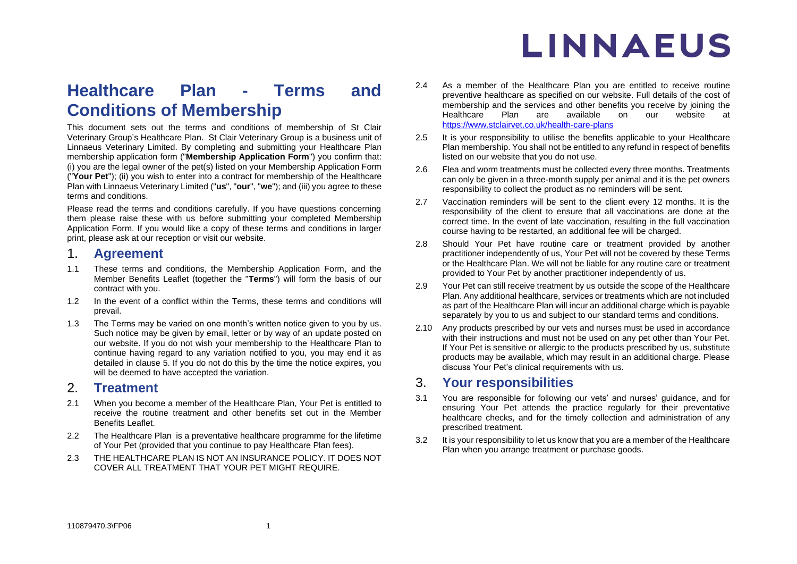## **Healthcare Plan - Terms and Conditions of Membership**

This document sets out the terms and conditions of membership of St Clair Veterinary Group's Healthcare Plan. St Clair Veterinary Group is a business unit of Linnaeus Veterinary Limited. By completing and submitting your Healthcare Plan membership application form ("**Membership Application Form**") you confirm that: (i) you are the legal owner of the pet(s) listed on your Membership Application Form ("**Your Pet**"); (ii) you wish to enter into a contract for membership of the Healthcare Plan with Linnaeus Veterinary Limited ("**us**", "**our**", "**we**"); and (iii) you agree to these terms and conditions.

Please read the terms and conditions carefully. If you have questions concerning them please raise these with us before submitting your completed Membership Application Form. If you would like a copy of these terms and conditions in larger print, please ask at our reception or visit our website.

## 1. **Agreement**

- 1.1 These terms and conditions, the Membership Application Form, and the Member Benefits Leaflet (together the "**Terms**") will form the basis of our contract with you.
- 1.2 In the event of a conflict within the Terms, these terms and conditions will prevail.
- 1.3 The Terms may be varied on one month's written notice given to you by us. Such notice may be given by email, letter or by way of an update posted on our website. If you do not wish your membership to the Healthcare Plan to continue having regard to any variation notified to you, you may end it as detailed in clause [5.](#page-2-0) If you do not do this by the time the notice expires, you will be deemed to have accepted the variation.

## 2. **Treatment**

- 2.1 When you become a member of the Healthcare Plan, Your Pet is entitled to receive the routine treatment and other benefits set out in the Member Benefits Leaflet.
- 2.2 The Healthcare Plan is a preventative healthcare programme for the lifetime of Your Pet (provided that you continue to pay Healthcare Plan fees).
- 2.3 THE HEALTHCARE PLAN IS NOT AN INSURANCE POLICY. IT DOES NOT COVER ALL TREATMENT THAT YOUR PET MIGHT REQUIRE.
- 2.4 As a member of the Healthcare Plan you are entitled to receive routine preventive healthcare as specified on our website. Full details of the cost of membership and the services and other benefits you receive by joining the Healthcare Plan are available on our website at Healthcare Plan are available on our website at <https://www.stclairvet.co.uk/health-care-plans>
- 2.5 It is your responsibility to utilise the benefits applicable to your Healthcare Plan membership. You shall not be entitled to any refund in respect of benefits listed on our website that you do not use.
- 2.6 Flea and worm treatments must be collected every three months. Treatments can only be given in a three-month supply per animal and it is the pet owners responsibility to collect the product as no reminders will be sent.
- 2.7 Vaccination reminders will be sent to the client every 12 months. It is the responsibility of the client to ensure that all vaccinations are done at the correct time. In the event of late vaccination, resulting in the full vaccination course having to be restarted, an additional fee will be charged.
- 2.8 Should Your Pet have routine care or treatment provided by another practitioner independently of us, Your Pet will not be covered by these Terms or the Healthcare Plan. We will not be liable for any routine care or treatment provided to Your Pet by another practitioner independently of us.
- 2.9 Your Pet can still receive treatment by us outside the scope of the Healthcare Plan. Any additional healthcare, services or treatments which are not included as part of the Healthcare Plan will incur an additional charge which is payable separately by you to us and subject to our standard terms and conditions.
- 2.10 Any products prescribed by our vets and nurses must be used in accordance with their instructions and must not be used on any pet other than Your Pet. If Your Pet is sensitive or allergic to the products prescribed by us, substitute products may be available, which may result in an additional charge. Please discuss Your Pet's clinical requirements with us.

## 3. **Your responsibilities**

- 3.1 You are responsible for following our vets' and nurses' guidance, and for ensuring Your Pet attends the practice regularly for their preventative healthcare checks, and for the timely collection and administration of any prescribed treatment.
- 3.2 It is your responsibility to let us know that you are a member of the Healthcare Plan when you arrange treatment or purchase goods.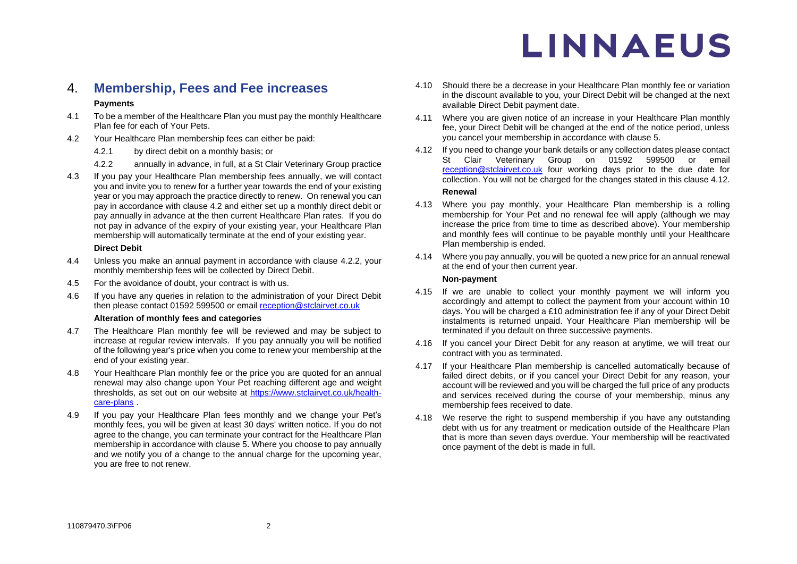## 4. **Membership, Fees and Fee increases**

### **Payments**

- 4.1 To be a member of the Healthcare Plan you must pay the monthly Healthcare Plan fee for each of Your Pets.
- <span id="page-1-0"></span>4.2 Your Healthcare Plan membership fees can either be paid:
	- 4.2.1 by direct debit on a monthly basis; or
	- 4.2.2 annually in advance, in full, at a St Clair Veterinary Group practice
- <span id="page-1-1"></span>4.3 If you pay your Healthcare Plan membership fees annually, we will contact you and invite you to renew for a further year towards the end of your existing year or you may approach the practice directly to renew. On renewal you can pay in accordance with clause [4.2](#page-1-0) and either set up a monthly direct debit or pay annually in advance at the then current Healthcare Plan rates. If you do not pay in advance of the expiry of your existing year, your Healthcare Plan membership will automatically terminate at the end of your existing year.

#### **Direct Debit**

- 4.4 Unless you make an annual payment in accordance with clause [4.2.2,](#page-1-1) your monthly membership fees will be collected by Direct Debit.
- 4.5 For the avoidance of doubt, your contract is with us.
- 4.6 If you have any queries in relation to the administration of your Direct Debit then please contact 01592 599500 or email [reception@stclairvet.co.uk](mailto:reception@stclairvet.co.uk)

#### **Alteration of monthly fees and categories**

- 4.7 The Healthcare Plan monthly fee will be reviewed and may be subject to increase at regular review intervals. If you pay annually you will be notified of the following year's price when you come to renew your membership at the end of your existing year.
- 4.8 Your Healthcare Plan monthly fee or the price you are quoted for an annual renewal may also change upon Your Pet reaching different age and weight thresholds, as set out on our website at [https://www.stclairvet.co.uk/health](https://www.stclairvet.co.uk/health-care-plans)[care-plans](https://www.stclairvet.co.uk/health-care-plans) .
- 4.9 If you pay your Healthcare Plan fees monthly and we change your Pet's monthly fees, you will be given at least 30 days' written notice. If you do not agree to the change, you can terminate your contract for the Healthcare Plan membership in accordance with clause [5.](#page-2-0) Where you choose to pay annually and we notify you of a change to the annual charge for the upcoming year, you are free to not renew.
- 4.10 Should there be a decrease in your Healthcare Plan monthly fee or variation in the discount available to you, your Direct Debit will be changed at the next available Direct Debit payment date.
- 4.11 Where you are given notice of an increase in your Healthcare Plan monthly fee, your Direct Debit will be changed at the end of the notice period, unless you cancel your membership in accordance with clause [5.](#page-2-0)
- <span id="page-1-2"></span>4.12 If you need to change your bank details or any collection dates please contact St Clair Veterinary Group on 01592 599500 or email [reception@stclairvet.co.uk](mailto:reception@stclairvet.co.uk) four working days prior to the due date for collection. You will not be charged for the changes stated in this clause [4.12.](#page-1-2) **Renewal**
- 4.13 Where you pay monthly, your Healthcare Plan membership is a rolling membership for Your Pet and no renewal fee will apply (although we may increase the price from time to time as described above). Your membership and monthly fees will continue to be payable monthly until your Healthcare Plan membership is ended.
- 4.14 Where you pay annually, you will be quoted a new price for an annual renewal at the end of your then current year.

#### **Non-payment**

- 4.15 If we are unable to collect your monthly payment we will inform you accordingly and attempt to collect the payment from your account within 10 days. You will be charged a £10 administration fee if any of your Direct Debit instalments is returned unpaid. Your Healthcare Plan membership will be terminated if you default on three successive payments.
- 4.16 If you cancel your Direct Debit for any reason at anytime, we will treat our contract with you as terminated.
- 4.17 If your Healthcare Plan membership is cancelled automatically because of failed direct debits, or if you cancel your Direct Debit for any reason, your account will be reviewed and you will be charged the full price of any products and services received during the course of your membership, minus any membership fees received to date.
- 4.18 We reserve the right to suspend membership if you have any outstanding debt with us for any treatment or medication outside of the Healthcare Plan that is more than seven days overdue. Your membership will be reactivated once payment of the debt is made in full.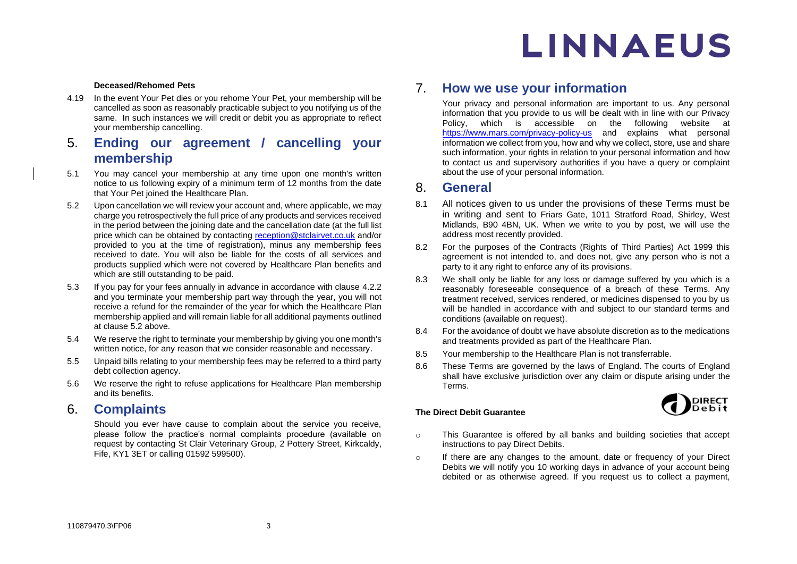#### **Deceased/Rehomed Pets**

4.19 In the event Your Pet dies or you rehome Your Pet, your membership will be cancelled as soon as reasonably practicable subject to you notifying us of the same. In such instances we will credit or debit you as appropriate to reflect your membership cancelling.

## <span id="page-2-0"></span>5. **Ending our agreement / cancelling your membership**

- 5.1 You may cancel your membership at any time upon one month's written notice to us following expiry of a minimum term of 12 months from the date that Your Pet joined the Healthcare Plan.
- <span id="page-2-1"></span>5.2 Upon cancellation we will review your account and, where applicable, we may charge you retrospectively the full price of any products and services received in the period between the joining date and the cancellation date (at the full list price which can be obtained by contacting [reception@stclairvet.co.uk](mailto:reception@stclairvet.co.uk) and/or provided to you at the time of registration), minus any membership fees received to date. You will also be liable for the costs of all services and products supplied which were not covered by Healthcare Plan benefits and which are still outstanding to be paid.
- 5.3 If you pay for your fees annually in advance in accordance with clause [4.2.2](#page-1-1) and you terminate your membership part way through the year, you will not receive a refund for the remainder of the year for which the Healthcare Plan membership applied and will remain liable for all additional payments outlined at clause [5.2](#page-2-1) above.
- 5.4 We reserve the right to terminate your membership by giving you one month's written notice, for any reason that we consider reasonable and necessary.
- 5.5 Unpaid bills relating to your membership fees may be referred to a third party debt collection agency.
- 5.6 We reserve the right to refuse applications for Healthcare Plan membership and its benefits.

### 6. **Complaints**

Should you ever have cause to complain about the service you receive, please follow the practice's normal complaints procedure (available on request by contacting St Clair Veterinary Group, 2 Pottery Street, Kirkcaldy, Fife, KY1 3ET or calling 01592 599500).

## 7. **How we use your information**

Your privacy and personal information are important to us. Any personal information that you provide to us will be dealt with in line with our Privacy Policy, which is accessible on the following website at <https://www.mars.com/privacy-policy-us> and explains what personal information we collect from you, how and why we collect, store, use and share such information, your rights in relation to your personal information and how to contact us and supervisory authorities if you have a query or complaint about the use of your personal information.

### 8. **General**

- 8.1 All notices given to us under the provisions of these Terms must be in writing and sent to Friars Gate, 1011 Stratford Road, Shirley, West Midlands, B90 4BN, UK. When we write to you by post, we will use the address most recently provided.
- 8.2 For the purposes of the Contracts (Rights of Third Parties) Act 1999 this agreement is not intended to, and does not, give any person who is not a party to it any right to enforce any of its provisions.
- 8.3 We shall only be liable for any loss or damage suffered by you which is a reasonably foreseeable consequence of a breach of these Terms. Any treatment received, services rendered, or medicines dispensed to you by us will be handled in accordance with and subject to our standard terms and conditions (available on request).
- 8.4 For the avoidance of doubt we have absolute discretion as to the medications and treatments provided as part of the Healthcare Plan.
- 8.5 Your membership to the Healthcare Plan is not transferrable.
- 8.6 These Terms are governed by the laws of England. The courts of England shall have exclusive jurisdiction over any claim or dispute arising under the Terms.

#### **The Direct Debit Guarantee**



- o This Guarantee is offered by all banks and building societies that accept instructions to pay Direct Debits.
- o If there are any changes to the amount, date or frequency of your Direct Debits we will notify you 10 working days in advance of your account being debited or as otherwise agreed. If you request us to collect a payment,